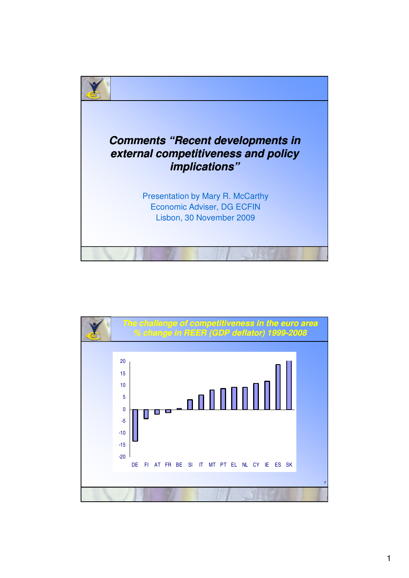

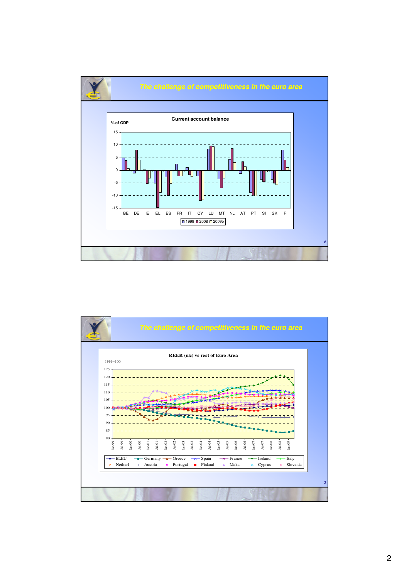

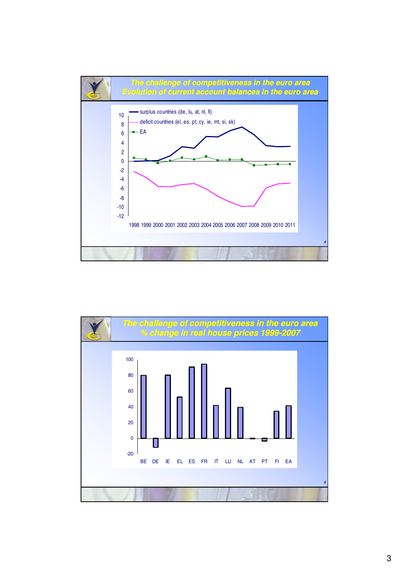

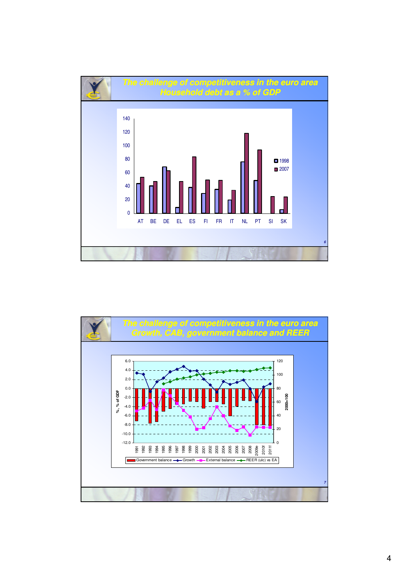